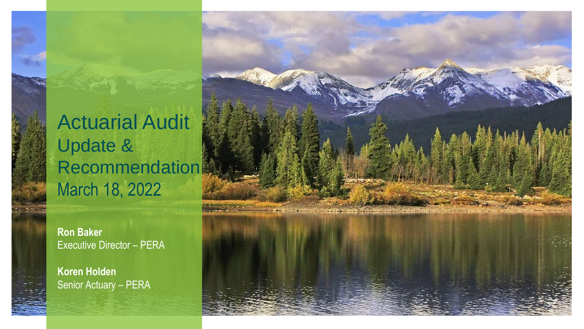Actuarial Audit Update & **Recommendation** March 18, 2022

**Ron Baker**  Executive Director – PERA

**Koren Holden**  Senior Actuary – PERA

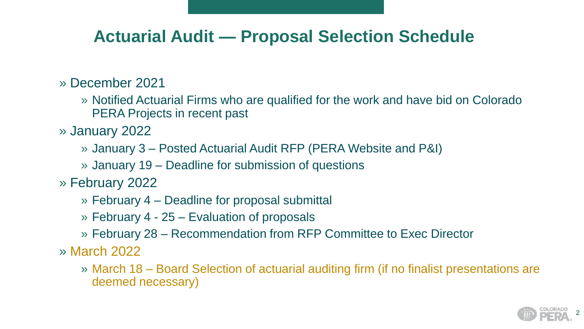## **Actuarial Audit — Proposal Selection Schedule**

#### » December 2021

- » Notified Actuarial Firms who are qualified for the work and have bid on Colorado PERA Projects in recent past
- » January 2022
	- » January 3 Posted Actuarial Audit RFP (PERA Website and P&I)
	- » January 19 Deadline for submission of questions
- » February 2022
	- » February 4 Deadline for proposal submittal
	- » February 4 25 Evaluation of proposals
	- » February 28 Recommendation from RFP Committee to Exec Director
- » March 2022
	- » March 18 Board Selection of actuarial auditing firm (if no finalist presentations are deemed necessary)

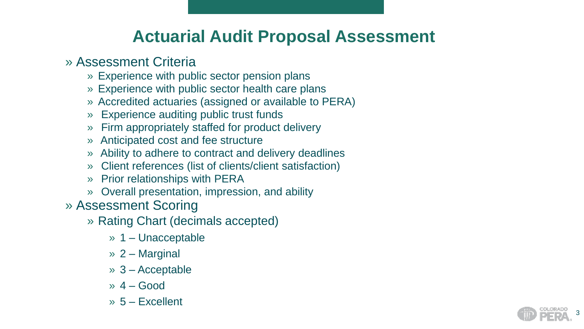## **Actuarial Audit Proposal Assessment**

#### » Assessment Criteria

- » Experience with public sector pension plans
- » Experience with public sector health care plans
- » Accredited actuaries (assigned or available to PERA )
- 
- » Experience auditing public trust funds » Firm appropriately staffed for product delivery
- » Anticipated cost and fee structure
- » Ability to adhere to contract and delivery deadlines
- » Client references (list of clients/client satisfaction)
- » Prior relationships with PERA
- » Overall presentation, impression, and ability
- » Assessment Scoring
	- » Rating Chart (decimals accepted)
		- » 1 Unacceptable
		- » 2 Marginal
		- » 3 Acceptable
		- $\rightarrow$  4 Good
		- » 5 Excellent

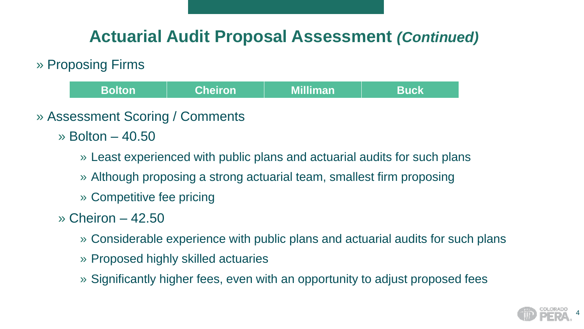## **Actuarial Audit Proposal Assessment** *(Continued)*

#### » Proposing Firms

- **Bolton Cheiron Milliman Buck**
- » Assessment Scoring / Comments
	- » Bolton 40.50
		- » Least experienced with public plans and actuarial audits for such plans
		- » Although proposing a strong actuarial team, smallest firm proposing
		- » Competitive fee pricing
	- » Cheiron 42.50
		- » Considerable experience with public plans and actuarial audits for such plans
		- » Proposed highly skilled actuaries
		- » Significantly higher fees, even with an opportunity to adjust proposed fees

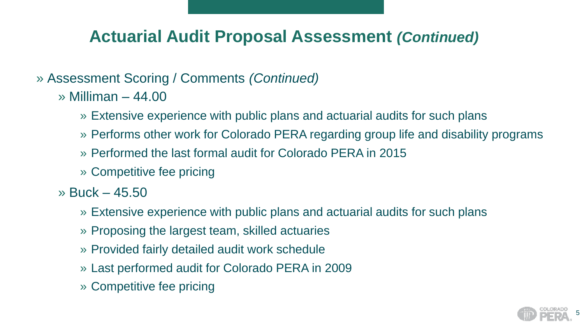## **Actuarial Audit Proposal Assessment** *(Continued)*

#### » Assessment Scoring / Comments *(Continued)*

- » Milliman 44.00
	- » Extensive experience with public plans and actuarial audits for such plans
	- » Performs other work for Colorado PERA regarding group life and disability programs
	- » Performed the last formal audit for Colorado PERA in 2015
	- » Competitive fee pricing
- » Buck 45.50
	- » Extensive experience with public plans and actuarial audits for such plans
	- » Proposing the largest team, skilled actuaries
	- » Provided fairly detailed audit work schedule
	- » Last performed audit for Colorado PERA in 2009
	- » Competitive fee pricing

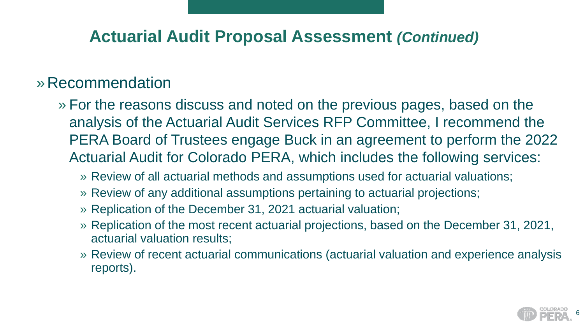## **Actuarial Audit Proposal Assessment** *(Continued)*

## »Recommendation

- » For the reasons discuss and noted on the previous pages, based on the analysis of the Actuarial Audit Services RFP Committee, I recommend the PERA Board of Trustees engage Buck in an agreement to perform the 2022 Actuarial Audit for Colorado PERA, which includes the following services:
	- » Review of all actuarial methods and assumptions used for actuarial valuations;
	- » Review of any additional assumptions pertaining to actuarial projections;
	- » Replication of the December 31, 2021 actuarial valuation;
	- » Replication of the most recent actuarial projections, based on the December 31, 2021, actuarial valuation results;
	- » Review of recent actuarial communications (actuarial valuation and experience analysis reports).

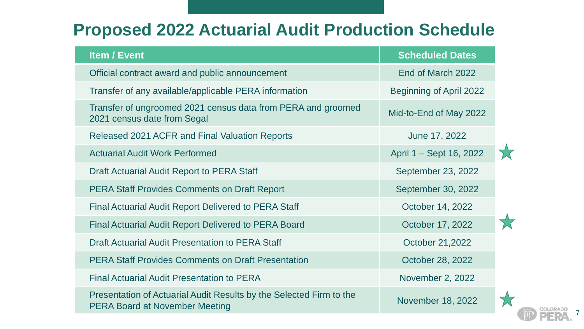## **Proposed 2022 Actuarial Audit Production Schedule**

| <b>Item / Event</b>                                                                                          | <b>Scheduled Dates</b>         |  |
|--------------------------------------------------------------------------------------------------------------|--------------------------------|--|
| Official contract award and public announcement                                                              | End of March 2022              |  |
| Transfer of any available/applicable PERA information                                                        | <b>Beginning of April 2022</b> |  |
| Transfer of ungroomed 2021 census data from PERA and groomed<br>2021 census date from Segal                  | Mid-to-End of May 2022         |  |
| <b>Released 2021 ACFR and Final Valuation Reports</b>                                                        | June 17, 2022                  |  |
| <b>Actuarial Audit Work Performed</b>                                                                        | April 1 – Sept 16, 2022        |  |
| <b>Draft Actuarial Audit Report to PERA Staff</b>                                                            | September 23, 2022             |  |
| <b>PERA Staff Provides Comments on Draft Report</b>                                                          | September 30, 2022             |  |
| <b>Final Actuarial Audit Report Delivered to PERA Staff</b>                                                  | October 14, 2022               |  |
| <b>Final Actuarial Audit Report Delivered to PERA Board</b>                                                  | October 17, 2022               |  |
| <b>Draft Actuarial Audit Presentation to PERA Staff</b>                                                      | October 21,2022                |  |
| <b>PERA Staff Provides Comments on Draft Presentation</b>                                                    | October 28, 2022               |  |
| <b>Final Actuarial Audit Presentation to PERA</b>                                                            | November 2, 2022               |  |
| Presentation of Actuarial Audit Results by the Selected Firm to the<br><b>PERA Board at November Meeting</b> | November 18, 2022              |  |



7